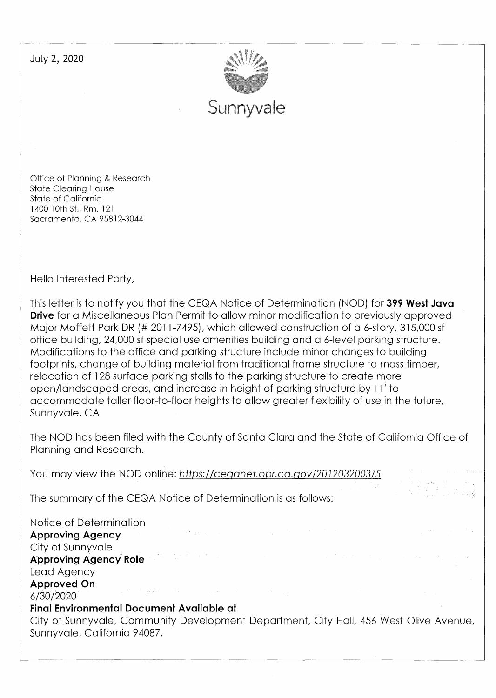July 2, 2020



Office of Planning & Research State Clearing House State of California 1400 10th St., Rm. 121 Sacramento, CA 95812-3044

Hello Interested Party,

This letter is to notify you that the CEQA Notice of Determination (NOD) for **399 West Java Drive** for a Miscellaneous Plan Permit to allow minor modification to previously approved Major Moffett Park DR(# 2011-7495), which allowed construction of a 6-story, 315,000 sf office building, 24,000 sf special use amenities building and a 6-level parking structure. Modifications to the office and parking structure include minor changes to building footprints, change of building material from traditional frame structure to mass timber, relocation of 128 surface parking stalls to the parking structure to create more open/landscaped areas, and increase in height of parking structure by 11' to accommodate taller floor-to-floor heights to allow greater flexibility of use in the future, Sunnyvale, CA

The NOD has been filed with the County of Santa Clara and the State of California Office of Planning and Research.

You may view the NOD online: https://ceganet.opr.ca.gov/2012032003/5

The summary of the CEQA Notice of Determination is as follows:

Notice of Determination **Approving Agency**  City of Sunnyvale **Approving Agency' Role**  Lead Agency **Approved On**  and the support of the 6/30/2020 **Final Environmental Document Available at**  City of Sunnyvale, Community Development Department, City Hall, 456 West Olive Avenue, Sunnyvale, California 94087.